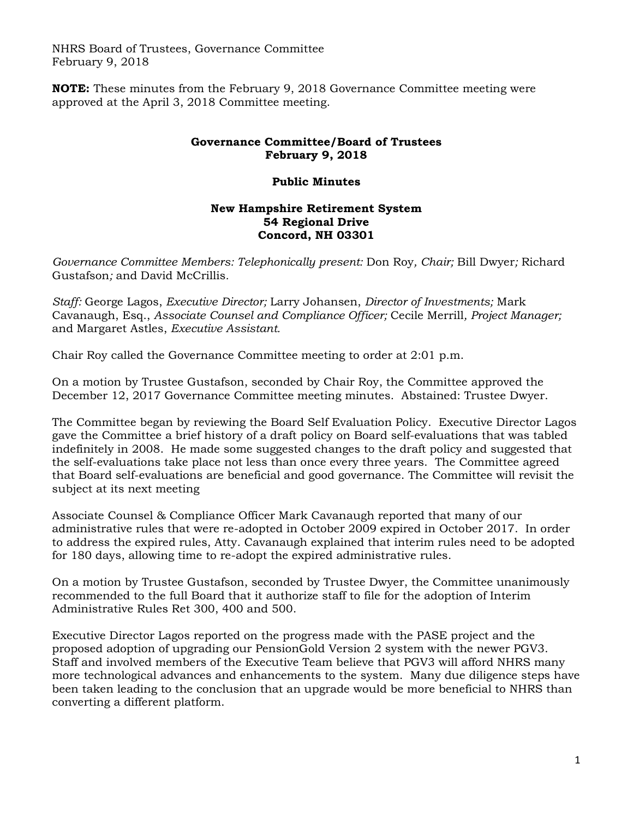NHRS Board of Trustees, Governance Committee February 9, 2018

**NOTE:** These minutes from the February 9, 2018 Governance Committee meeting were approved at the April 3, 2018 Committee meeting.

## **Governance Committee/Board of Trustees February 9, 2018**

## **Public Minutes**

## **New Hampshire Retirement System 54 Regional Drive Concord, NH 03301**

*Governance Committee Members: Telephonically present:* Don Roy*, Chair;* Bill Dwyer*;* Richard Gustafson*;* and David McCrillis*.* 

*Staff:* George Lagos, *Executive Director;* Larry Johansen, *Director of Investments;* Mark Cavanaugh, Esq., *Associate Counsel and Compliance Officer;* Cecile Merrill*, Project Manager;*  and Margaret Astles, *Executive Assistant.* 

Chair Roy called the Governance Committee meeting to order at 2:01 p.m.

On a motion by Trustee Gustafson, seconded by Chair Roy, the Committee approved the December 12, 2017 Governance Committee meeting minutes. Abstained: Trustee Dwyer.

The Committee began by reviewing the Board Self Evaluation Policy. Executive Director Lagos gave the Committee a brief history of a draft policy on Board self-evaluations that was tabled indefinitely in 2008. He made some suggested changes to the draft policy and suggested that the self-evaluations take place not less than once every three years. The Committee agreed that Board self-evaluations are beneficial and good governance. The Committee will revisit the subject at its next meeting

Associate Counsel & Compliance Officer Mark Cavanaugh reported that many of our administrative rules that were re-adopted in October 2009 expired in October 2017. In order to address the expired rules, Atty. Cavanaugh explained that interim rules need to be adopted for 180 days, allowing time to re-adopt the expired administrative rules.

On a motion by Trustee Gustafson, seconded by Trustee Dwyer, the Committee unanimously recommended to the full Board that it authorize staff to file for the adoption of Interim Administrative Rules Ret 300, 400 and 500.

Executive Director Lagos reported on the progress made with the PASE project and the proposed adoption of upgrading our PensionGold Version 2 system with the newer PGV3. Staff and involved members of the Executive Team believe that PGV3 will afford NHRS many more technological advances and enhancements to the system. Many due diligence steps have been taken leading to the conclusion that an upgrade would be more beneficial to NHRS than converting a different platform.